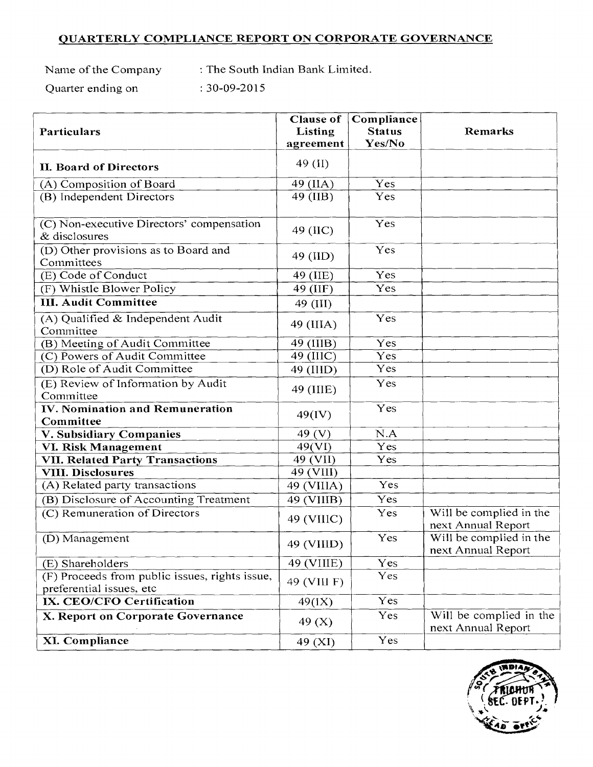## **QUARTERLY COMPLIANCE REPORT ON CORPORATE GOVERNANCE**

Name of the Company : The South Indian Bank Limited.

Quarter ending on : 30-09-2015

| Particulars                                                                | <b>Clause of</b><br>Listing<br>agreement | Compliance<br><b>Status</b><br>Yes/No | Remarks                                       |
|----------------------------------------------------------------------------|------------------------------------------|---------------------------------------|-----------------------------------------------|
| II. Board of Directors                                                     | 49 (II)                                  |                                       |                                               |
| (A) Composition of Board                                                   | 49 (IIA)                                 | Yes                                   |                                               |
| (B) Independent Directors                                                  | 49 (IIB)                                 | Yes                                   |                                               |
| (C) Non-executive Directors' compensation<br>& disclosures                 | 49 (IIC)                                 | Yes                                   |                                               |
| (D) Other provisions as to Board and<br>Committees                         | 49 (IID)                                 | Yes                                   |                                               |
| (E) Code of Conduct                                                        | 49 (IIE)                                 | Yes                                   |                                               |
| (F) Whistle Blower Policy                                                  | 49 (IIF)                                 | Yes                                   |                                               |
| <b>III. Audit Committee</b>                                                | 49 (III)                                 |                                       |                                               |
| (A) Qualified & Independent Audit<br>Committee                             | 49 (IIIA)                                | Yes                                   |                                               |
| (B) Meeting of Audit Committee                                             | 49 (IIIB)                                | Yes                                   |                                               |
| (C) Powers of Audit Committee                                              | 49 (IIIC)                                | Yes                                   |                                               |
| (D) Role of Audit Committee                                                | 49 (IIID)                                | Yes                                   |                                               |
| (E) Review of Information by Audit<br>Committee                            | 49 (IIIE)                                | Yes                                   |                                               |
| IV. Nomination and Remuneration<br>Committee                               | 49(IV)                                   | Yes                                   |                                               |
| V. Subsidiary Companies                                                    | 49 (V)                                   | N.A                                   |                                               |
| <b>VI. Risk Management</b>                                                 | 49(VI)                                   | Yes                                   |                                               |
| <b>VII. Related Party Transactions</b>                                     | 49 (VII)                                 | Yes                                   |                                               |
| <b>VIII. Disclosures</b>                                                   | 49 (VIII)                                |                                       |                                               |
| (A) Related party transactions                                             | 49 (VIIIA)                               | Yes                                   |                                               |
| (B) Disclosure of Accounting Treatment                                     | 49 (VIIIB)                               | Yes                                   |                                               |
| (C) Remuneration of Directors                                              | 49 (VIIIC)                               | Yes                                   | Will be complied in the<br>next Annual Report |
| (D) Management                                                             | 49 (VIIID)                               | Yes                                   | Will be complied in the<br>next Annual Report |
| (E) Shareholders                                                           | $\overline{49}$ (VIIIE)                  | Yes                                   |                                               |
| (F) Proceeds from public issues, rights issue,<br>preferential issues, etc | 49 (VIII F)                              | Yes                                   |                                               |
| IX. CEO/CFO Certification                                                  | 49(IX)                                   | Yes                                   |                                               |
| X. Report on Corporate Governance                                          | 49 $(X)$                                 | Yes                                   | Will be complied in the<br>next Annual Report |
| XI. Compliance                                                             | 49 (XI)                                  | Yes                                   |                                               |